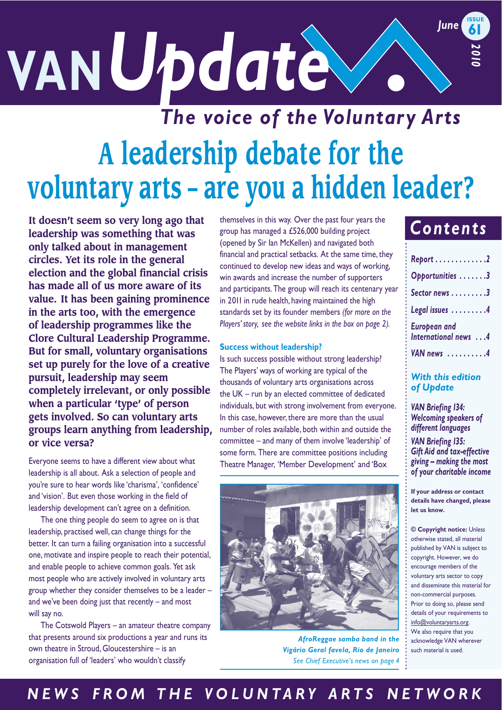# $VAN Update$ **61**  *2010 The voice of the Voluntary Arts*

# **A leadership debate for the voluntary arts – are you a hidden leader?**

**It doesn't seem so very long ago that leadership was something that was only talked about in management circles. Yet its role in the general election and the global financial crisis has made all of us more aware of its value. It has been gaining prominence in the arts too, with the emergence of leadership programmes like the Clore Cultural Leadership Programme. But for small, voluntary organisations set up purely for the love of a creative pursuit, leadership may seem completely irrelevant, or only possible when a particular 'type' of person gets involved. So can voluntary arts groups learn anything from leadership, or vice versa?** 

Everyone seems to have a different view about what leadership is all about. Ask a selection of people and you're sure to hear words like 'charisma', 'confidence' and 'vision'. But even those working in the field of leadership development can't agree on a definition.

The one thing people do seem to agree on is that leadership, practised well, can change things for the better. It can turn a failing organisation into a successful one, motivate and inspire people to reach their potential, and enable people to achieve common goals. Yet ask most people who are actively involved in voluntary arts group whether they consider themselves to be a leader – and we've been doing just that recently – and most will say no.

The Cotswold Players – an amateur theatre company that presents around six productions a year and runs its own theatre in Stroud, Gloucestershire – is an organisation full of 'leaders' who wouldn't classify

themselves in this way. Over the past four years the group has managed a £526,000 building project (opened by Sir Ian McKellen) and navigated both financial and practical setbacks. At the same time, they continued to develop new ideas and ways of working, win awards and increase the number of supporters and participants. The group will reach its centenary year in 2011 in rude health, having maintained the high standards set by its founder members *(for more on the Players' story, see the website links in the box on page 2).* 

#### **Success without leadership?**

Is such success possible without strong leadership? The Players' ways of working are typical of the thousands of voluntary arts organisations across the UK – run by an elected committee of dedicated individuals, but with strong involvement from everyone. In this case, however, there are more than the usual number of roles available, both within and outside the committee – and many of them involve 'leadership' of some form. There are committee positions including Theatre Manager, 'Member Development' and 'Box



*AfroReggae samba band in the Vigário Geral favela, Rio de Janeiro See Chief Executive's news on page 4* 

## *Contents*

| Report 2                                    |
|---------------------------------------------|
| Opportunities 3                             |
| Sector news 3                               |
| Legal issues 4                              |
| <b>European and</b><br>International news 4 |
| VAN news 4                                  |

#### *With this edition of Update*

*VAN Briefing 134: Welcoming speakers of different languages* 

*giving – making the most of your charitable income VAN Briefing 135: Gift Aid and tax-effective* 

**If your address or contact details have changed, please let us know.** 

**© Copyright notice:** Unless otherwise stated, all material copyright. However, we do encourage members of the voluntary arts sector to copy and disseminate this material for non-commercial purposes. Prior to doing so, please send details of your requirements to info@voluntaryarts.org. We also require that you such material is used. published by VAN is subject to acknowledge VAN wherever

### *N E W S F R O M T H E V O L U N T A R Y A R T S N E T W O R K*